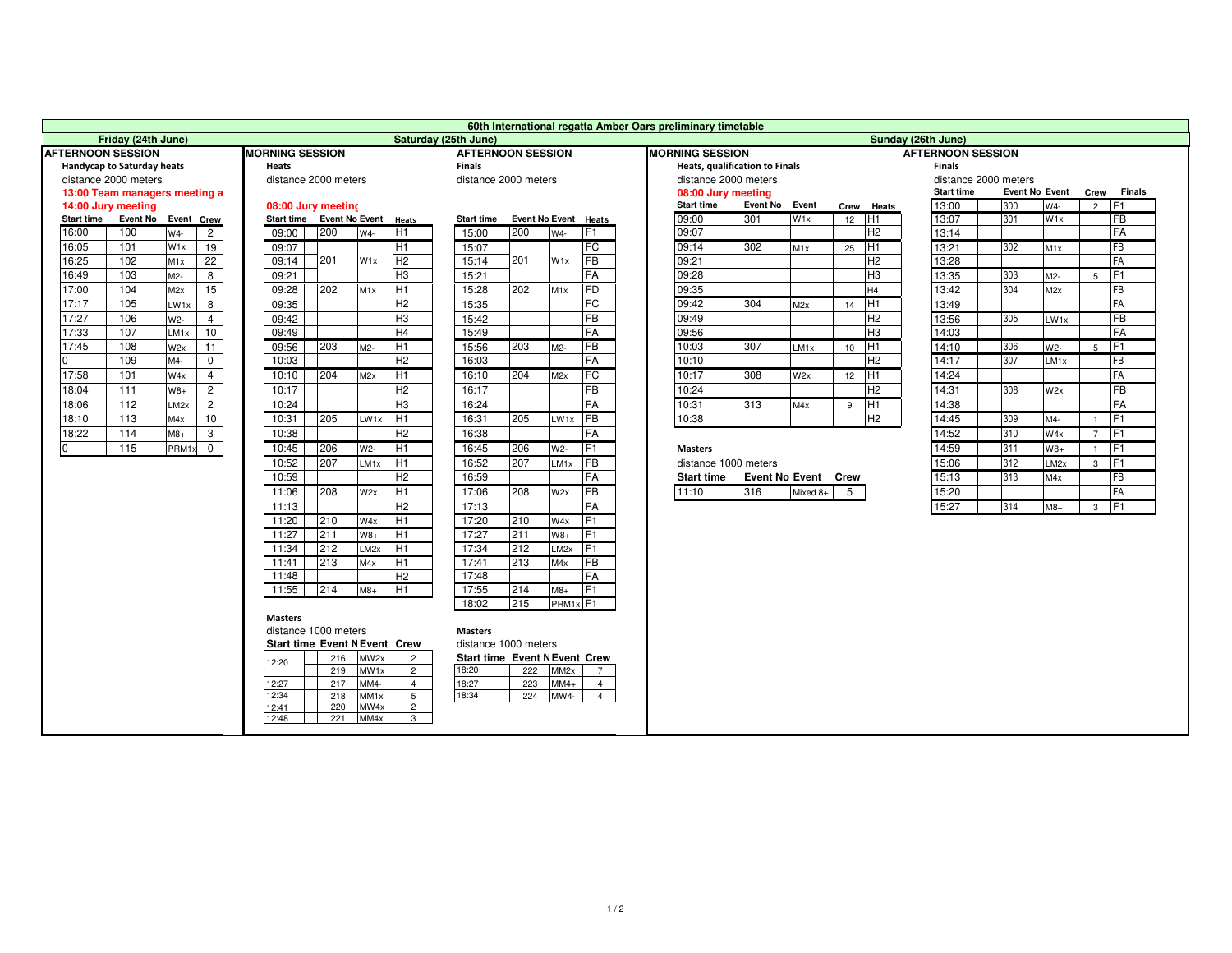| 60th International regatta Amber Oars preliminary timetable |                                                                                                        |                  |                 |       |                      |                           |                  |                                                         |                          |                      |                      |                        |                                |                          |                       |      |                     |                 |                      |       |                       |                |                 |
|-------------------------------------------------------------|--------------------------------------------------------------------------------------------------------|------------------|-----------------|-------|----------------------|---------------------------|------------------|---------------------------------------------------------|--------------------------|----------------------|----------------------|------------------------|--------------------------------|--------------------------|-----------------------|------|---------------------|-----------------|----------------------|-------|-----------------------|----------------|-----------------|
| Friday (24th June)<br>Saturday (25th June)                  |                                                                                                        |                  |                 |       |                      |                           |                  |                                                         |                          |                      | Sunday (26th June)   |                        |                                |                          |                       |      |                     |                 |                      |       |                       |                |                 |
| <b>AFTERNOON SESSION</b><br><b>MORNING SESSION</b>          |                                                                                                        |                  |                 |       |                      |                           |                  |                                                         | <b>AFTERNOON SESSION</b> |                      |                      | <b>MORNING SESSION</b> |                                | <b>AFTERNOON SESSION</b> |                       |      |                     |                 |                      |       |                       |                |                 |
| Handycap to Saturday heats                                  |                                                                                                        |                  | <b>Heats</b>    |       |                      |                           |                  | <b>Finals</b>                                           |                          |                      |                      |                        | Heats, qualification to Finals |                          |                       |      |                     | <b>Finals</b>   |                      |       |                       |                |                 |
| distance 2000 meters                                        |                                                                                                        |                  |                 |       | distance 2000 meters |                           |                  |                                                         | distance 2000 meters     |                      |                      |                        |                                | distance 2000 meters     |                       |      |                     |                 | distance 2000 meters |       |                       |                |                 |
| 13:00 Team managers meeting a                               |                                                                                                        |                  |                 |       |                      |                           |                  |                                                         |                          |                      |                      |                        |                                | 08:00 Jury meeting       |                       |      |                     |                 | <b>Start time</b>    |       | <b>Event No Event</b> |                | Crew Finals     |
| 14:00 Jury meeting                                          |                                                                                                        |                  |                 |       |                      | 08:00 Jury meeting        |                  |                                                         |                          |                      |                      |                        |                                | <b>Start time</b>        | Event No Event        |      |                     | Crew Heats      | 13:00                | 300   | W4-                   | $2$ F1         |                 |
| Start time Event No Event Crew                              |                                                                                                        |                  |                 |       |                      | Start time Event No Event |                  | Heats                                                   | <b>Start time</b>        |                      | Event No Event Heats |                        |                                | 09:00                    | 301                   | W1x  | $12$ H <sub>1</sub> |                 | 13:07                | 301   | W1x                   |                | <b>FB</b>       |
| 16:00                                                       | 100                                                                                                    | W4-              | $\overline{2}$  |       | 09:00                | 200                       | $W4 -$           | TH1                                                     | 15:00                    | 200                  | W4-                  | TF1                    |                                | 09:07                    |                       |      |                     | H <sub>2</sub>  | 13:14                |       |                       |                | FA              |
| 16:05                                                       | 101                                                                                                    | W <sub>1x</sub>  | 19              |       | 09:07                |                           |                  | H <sub>1</sub>                                          | 15:07                    |                      |                      | FC                     |                                | 09:14                    | 302                   | M1x  | 25                  | TH1             | 13:21                | 302   | M <sub>1x</sub>       |                | FB              |
| 16:25                                                       | 102                                                                                                    | M1x              | $\overline{22}$ |       | 09:14                | 201                       | W <sub>1x</sub>  | H <sub>2</sub>                                          | 15:14                    | 201                  | W <sub>1x</sub>      | <b>FB</b>              |                                | 09:21                    |                       |      |                     | H <sub>2</sub>  | 13:28                |       |                       |                | <b>FA</b>       |
| 16:49                                                       | 103                                                                                                    | $M2-$            | 8               |       | 09:21                |                           |                  | H <sub>3</sub>                                          | 15:21                    |                      |                      | <b>FA</b>              |                                | 09:28                    |                       |      |                     | H <sub>3</sub>  | 13:35                | 303   | M2-                   | 5              | F <sub>1</sub>  |
| 17:00                                                       | 104                                                                                                    | M2x              | 15              |       | 09:28                | 202                       | M1x              | Ī                                                       | 15:28                    | 202                  | M <sub>1x</sub>      | <b>FD</b>              |                                | 09:35                    |                       |      |                     | H4              | 13:42                | 304   | M2x                   |                | FB              |
| 17:17                                                       | 105                                                                                                    | LW1x             | 8               |       | 09:35                |                           |                  | H <sub>2</sub>                                          | 15:35                    |                      |                      | E                      |                                | 09:42                    | 304                   | M2x  | 14                  | TH <sub>1</sub> | 13:49                |       |                       |                | <b>FA</b>       |
| 17:27                                                       | 106                                                                                                    | $W2-$            | $\overline{4}$  |       | 09:42                |                           |                  | H <sub>3</sub>                                          | 15:42                    |                      |                      | FB                     |                                | 09:49                    |                       |      |                     | H2              | 13:56                | 305   | LW1x                  |                | <b>FB</b>       |
| 17:33                                                       | 107                                                                                                    | LM1x             | 10              |       | 09:49                |                           |                  | H <sub>4</sub>                                          | 15:49                    |                      |                      | FA                     |                                | 09:56                    |                       |      |                     | H <sub>3</sub>  | 14:03                |       |                       |                | <b>FA</b>       |
| 17:45                                                       | 108                                                                                                    | W2x              | 11              |       | 09:56                | 203                       | M2-              | H <sub>1</sub>                                          | 15:56                    | 203                  | $M2-$                | <b>FB</b>              |                                | 10:03                    | 307                   | LM1x | 10                  | TH <sub>1</sub> | 14:10                | 306   | W2-                   | 5              | TF <sub>1</sub> |
| $\overline{0}$                                              | 109                                                                                                    | M4-              | $\Omega$        |       | 10:03                |                           |                  | H <sub>2</sub>                                          | 16:03                    |                      |                      | FA                     |                                | 10:10                    |                       |      |                     | H <sub>2</sub>  | 14:17                | 307   | LM <sub>1x</sub>      |                | FB              |
| 17:58                                                       | 101                                                                                                    | W4x              | $\overline{4}$  |       | 10:10                | 204                       | M2x              | H <sub>1</sub>                                          | 16:10                    | 204                  | M2x                  | FC                     |                                | 10:17                    | 308                   | W2x  | 12                  | TH <sub>1</sub> | 14:24                |       |                       |                | FA              |
| 18:04                                                       | 111                                                                                                    | $W8+$            | $\overline{2}$  |       | 10:17                |                           |                  | H <sub>2</sub>                                          | 16:17                    |                      |                      | FB                     |                                | 10:24                    |                       |      |                     | H2              | 14:31                | 308   | W2x                   |                | <b>FB</b>       |
| 18:06                                                       | 112                                                                                                    | LM <sub>2x</sub> | $\mathbf{2}$    |       | 10:24                |                           |                  | H <sub>3</sub>                                          | 16:24                    |                      |                      | <b>FA</b>              |                                | 10:31                    | 313                   | M4x  | 9                   | H <sub>1</sub>  | 14:38                |       |                       |                | <b>FA</b>       |
| 18:10                                                       | 113                                                                                                    | M4x              | 10              |       | 10:31                | 205                       | LW1x             | H <sub>1</sub>                                          | 16:31                    | 205                  | LW1x                 | <b>FB</b>              |                                | 10:38                    |                       |      |                     | H2              | 14:45                | 309   | M4-                   | $\overline{1}$ | IF1             |
| 18:22                                                       | 114                                                                                                    | $M8+$            | 3               |       | 10:38                |                           |                  | H <sub>2</sub>                                          | 16:38                    |                      |                      | <b>FA</b>              |                                |                          |                       |      |                     |                 | 14:52                | 310   | W4x                   | $7$ F1         |                 |
| $\Omega$                                                    | 115                                                                                                    | PRM1x            | $\mathbf{0}$    |       | 10:45                | 206                       | W2-              | H <sub>1</sub><br>206<br>F <sub>1</sub><br>16:45<br>W2- |                          |                      |                      |                        |                                | <b>Masters</b>           |                       |      |                     |                 | 14:59                | 311   | $W8+$                 | $\overline{1}$ | F <sub>1</sub>  |
|                                                             | 207<br>H <sub>1</sub><br>207<br><b>FB</b><br>10:52<br>LM1x<br>16:52<br>LM1x                            |                  |                 |       |                      |                           |                  |                                                         |                          | distance 1000 meters |                      |                        |                                |                          | 15:06                 | 312  | LM <sub>2x</sub>    | $3$ F1          |                      |       |                       |                |                 |
| 10:59                                                       |                                                                                                        |                  |                 |       |                      |                           |                  | H <sub>2</sub>                                          | 16:59                    |                      |                      | <b>FA</b>              |                                | <b>Start time</b>        | <b>Event No Event</b> |      | Crew                |                 | 15:13                | 313   | M4x                   |                | <b>FB</b>       |
|                                                             |                                                                                                        |                  |                 | 11:06 | 208                  | W2x                       | H <sub>1</sub>   | 17:06                                                   | 208                      | W2x                  | <b>FB</b>            |                        | 11:10                          | 316                      | Mixed 8+              | 5    |                     | 15:20           |                      |       |                       | FA             |                 |
|                                                             |                                                                                                        |                  |                 | 11:13 |                      |                           | H <sub>2</sub>   | 17:13                                                   |                          |                      | <b>FA</b>            |                        |                                |                          |                       |      |                     | 15:27           | 314                  | $M8+$ | $3$ F1                |                |                 |
|                                                             |                                                                                                        |                  |                 | 11:20 | 210                  |                           | TH1              | 17:20                                                   | 210                      | W4x                  | IF <sub>1</sub>      |                        |                                |                          |                       |      |                     |                 |                      |       |                       |                |                 |
|                                                             |                                                                                                        |                  |                 |       | 11:27                | 211                       | W4x<br>$W8+$     | H <sub>1</sub>                                          | 17:27                    | 211                  |                      | TF <sub>1</sub>        |                                |                          |                       |      |                     |                 |                      |       |                       |                |                 |
|                                                             |                                                                                                        |                  |                 |       | 11:34                | 212                       |                  | H <sub>1</sub>                                          | 17:34                    | 212                  | $W8+$<br>$LM2x$ F1   |                        |                                |                          |                       |      |                     |                 |                      |       |                       |                |                 |
|                                                             |                                                                                                        |                  |                 |       |                      | 213                       | LM <sub>2x</sub> | TH1                                                     |                          | 213                  |                      | <b>FB</b>              |                                |                          |                       |      |                     |                 |                      |       |                       |                |                 |
|                                                             |                                                                                                        |                  |                 |       | 11:41<br>11:48       |                           | M4x              | H <sub>2</sub>                                          | 17:41<br>17:48           |                      | M4x                  | FA                     |                                |                          |                       |      |                     |                 |                      |       |                       |                |                 |
|                                                             |                                                                                                        |                  |                 |       | 11:55                | 214                       | $M8+$            | TH1                                                     | 17:55                    | 214                  | $M8+$                | IF <sub>1</sub>        |                                |                          |                       |      |                     |                 |                      |       |                       |                |                 |
|                                                             |                                                                                                        |                  |                 |       |                      |                           |                  |                                                         |                          |                      |                      |                        |                                |                          |                       |      |                     |                 |                      |       |                       |                |                 |
| 215<br>PRM <sub>1x</sub> <sub>F1</sub><br>18:02             |                                                                                                        |                  |                 |       |                      |                           |                  |                                                         |                          |                      |                      |                        |                                |                          |                       |      |                     |                 |                      |       |                       |                |                 |
| <b>Masters</b>                                              |                                                                                                        |                  |                 |       |                      |                           |                  |                                                         |                          |                      |                      |                        |                                |                          |                       |      |                     |                 |                      |       |                       |                |                 |
|                                                             | distance 1000 meters<br><b>Masters</b><br>distance 1000 meters<br><b>Start time Event N Event Crew</b> |                  |                 |       |                      |                           |                  |                                                         |                          |                      |                      |                        |                                |                          |                       |      |                     |                 |                      |       |                       |                |                 |
|                                                             | 216<br>MW2x<br>$\overline{2}$<br><b>Start time Event N Event Crew</b>                                  |                  |                 |       |                      |                           |                  |                                                         |                          |                      |                      |                        |                                |                          |                       |      |                     |                 |                      |       |                       |                |                 |
|                                                             | 12:20<br>18:20<br>MW1x<br>$\overline{2}$<br>219<br>222<br>MM <sub>2x</sub><br>$\overline{7}$           |                  |                 |       |                      |                           |                  |                                                         |                          |                      |                      |                        |                                |                          |                       |      |                     |                 |                      |       |                       |                |                 |
|                                                             | 217<br>MM4-<br>18:27<br>223<br>$MN4+$<br>12:27<br>$\overline{4}$<br>$\overline{4}$                     |                  |                 |       |                      |                           |                  |                                                         |                          |                      |                      |                        |                                |                          |                       |      |                     |                 |                      |       |                       |                |                 |
|                                                             | 12:34<br>18:34<br>5 <sup>5</sup><br>218<br>MM <sub>1x</sub><br>224<br>MW4-<br>$\overline{4}$           |                  |                 |       |                      |                           |                  |                                                         |                          |                      |                      |                        |                                |                          |                       |      |                     |                 |                      |       |                       |                |                 |
|                                                             | 12:41<br>220<br>MW4x<br>$\overline{2}$                                                                 |                  |                 |       |                      |                           |                  |                                                         |                          |                      |                      |                        |                                |                          |                       |      |                     |                 |                      |       |                       |                |                 |
| 12:48<br>221<br>MM4x<br>$\mathbf{3}$                        |                                                                                                        |                  |                 |       |                      |                           |                  |                                                         |                          |                      |                      |                        |                                |                          |                       |      |                     |                 |                      |       |                       |                |                 |
|                                                             |                                                                                                        |                  |                 |       |                      |                           |                  |                                                         |                          |                      |                      |                        |                                |                          |                       |      |                     |                 |                      |       |                       |                |                 |